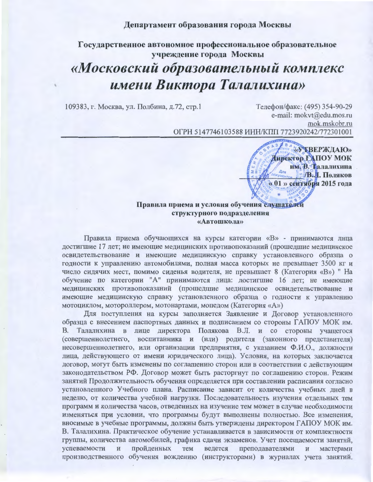## Департамент образования города Москвы

Государственное автономное профессиональное образовательное учреждение города Москвы «Московский образовательный комплекс имени Виктора Талалихина»

109383, г. Москва, ул. Полбина, д.72, стр.1

Телефон/факс: (495) 354-90-29 e-mail: mokvt@edu.mos.ru mok.mskobr.ru ОГРН 5147746103588 ИНН/КПП 7723920242/772301001

> «У ГВЕРЖДАЮ» Директор ГАПОУ МОК им. В. Галалихина **В.Л. Поляков** « 01 » сентября 2015 года

## Правила приема и условия обучения слушателей структурного подразделения «Автошкола»

Правила приема обучающихся на курсы категории «В» - принимаются лица достигшие 17 лет; не имеющие медицинских противопоказаний (прошедшие медицинское освидетельствование и имеющие медицинскую справку установленного образца о годности к управлению автомобилями, полная масса которых не превышает 3500 кг и число сидячих мест, помимо сиденья водителя, не превышает 8 (Категория «В») " На обучение по категории "А" принимаются лица: достигшие 16 лет; не имеющие медицинских противопоказаний (прошедшие медицинское освидетельствование и имеющие медицинскую справку установленного образца о годности к управлению мотоциклом, мотороллером, мотонартами, мопедом (Категория «А»)

Для поступления на курсы заполняется Заявление и Договор установленного образца с внесением паспортных данных и подписанием со стороны ГАПОУ МОК им. В. Талалихина в лице директора Полякова В.Л. и со стороны учащегося (совершеннолетнего, воспитанника и (или) родителя (законного представителя) несовершеннолетнего, или организации предприятия, с указанием Ф.И.О., должности лица, действующего от имени юридического лица). Условия, на которых заключается договор, могут быть изменены по соглашению сторон или в соответствии с действующим законодательством РФ. Договор может быть расторгнут по соглашению сторон. Режим занятий Продолжительность обучения определяется при составлении расписания согласно установленного Учебного плана. Расписание зависит от количества учебных дней в неделю, от количества учебной нагрузки. Последовательность изучения отдельных тем программ и количества часов, отведенных на изучение тем может в случае необходимости изменяться при условии, что программы будут выполнены полностью. Все изменения, вносимые в учебные программы, должны быть утверждены директором ГАПОУ МОК им. В. Талалихина. Практическое обучение устанавливается в зависимости от комплектности группы, количества автомобилей, графика сдачи экзаменов. Учет посещаемости занятий, успеваемости пройденных тем преподавателями  $\overline{\mathbf{H}}$ ведется  $\, {\bf H}$ мастерами производственного обучения вождению (инструкторами) в журналах учета занятий.